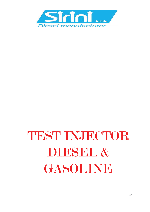

# TEST INJECTOR DIBSBL & GASOLINE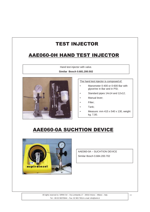## AAE060-0H HAND TEST INJECTOR

Hand test injector with valve.

**Similar Bosch 0.681.200.502**



The hand test injector is composed of:

- Manometer 0-400 or 0-600 Bar with glycerine in Bar and in PSI;
- Standard pipes 14x14 and 12x12;
- Manual lever;
- Filter;
- Tank;
- Measure: mm 415 x 540 x 130, weight kg. 7,00.

## AAE060-0A SUCHTION DEVICE



AAE060-0A – SUCHTION DEVICE Similar Bosch 0.684.200.702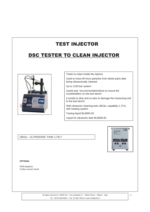## DSC TESTER TO CLEAN INJECTOR



Tester to clean inside the injector

Used to rinse-off micro particles from diesel parts after being ultrasonically cleaned.

Up to 1100 bar system

Useful and reccommended before to mount the nozzleholders on the test bench.

It avoids to dirty and so also to damage the measuring-cell fo the test bench.

With ultrasonic cleaning tank UB15s, capability 1,75 lt, with heating system

Testing liquid BL9005-00

Liquid for ultrasonic tank BL9008-00

UB15s – ULTRASONIC TANK 1,75LT



#### **OPTIONAL**

CRIN Adaptors Trolley version Small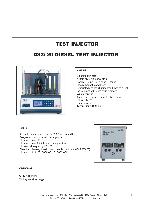## DS2i-20 DIESEL TEST INJECTOR



#### **DS2i-20**

Diesel test injector It tests nr. 1 injector at time Bosch – Delphi – Siemens – Denso Electromagnetic and Piezo Gradueted and led illumindated tubes to check the volumes with automatic drainage With test plans Automatic programs completely customise Up to 1850 bar User friendly Testing liquid BL9006-00

#### **DS2i-21**

It has the same features of DS2i-20 with in addition: **Program to wash inside the injectors** Ultrasonic tank UB15s Ultrasonic tank 1,75Lt with heating system, Ultrasound frequency 42KHZ Chemical cleaning liquid to wash inside the injector(BL9005-00) Ultrasonic liquid (BL9006-00 o BL9001-00)



#### **OPTIONAL**

CRIN Adaptors Trolley version Large

> All rights reserved to: SIRINI Srl – Via Lombardia 17 - 20010 Arluno – Milano – Italy Tel. +39 02 90376944 – Fax: 02 903 76514 e.mail: info@sirini.it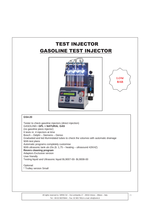# **GASOLINE TEST INJECTOR TEST INJECTOR**





#### **GS4-20**

Tester to check gasoline injectors (direct injection) GASOLINE+ **GPL + NATURAL GAS** (no gasoline piezo injector) It tests nr. 4 injectors at time Bosch – Delphi – Siemens – Denso Gradueted and led illumindated tubes to check the volumes with automatic drainage With test plans Automatic programs completely customise With ultrasonic tank ub-15s (lt. 1,75 – heating – ultrasound 42KHZ) **Revers cleaning program** Adaptors Exclusive version User friendly Testing liquid and Ultrasonic liquid BL9007-00- BL9008-00

Optional: \* Trolley version Small

> All rights reserved to: SIRINI Srl – Via Lombardia 17 - 20010 Arluno – Milano – Italy Tel. +39 02 90376944 – Fax: 02 903 76514 e.mail: info@sirini.it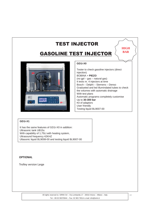# **GASOLINE TEST INJECTOR**  $\Big\langle$  **BAR**



#### **GD1i-X0**

Tester to check gasoline injectors (direct injection) BOBINA + **PIEZO** (no gpl – gas – natural gas) It tests nr. 4 injectors at time Bosch – Delphi – Siemens – Denso Gradueted and led illumindated tubes to check the volumes with automatic drainage With test plans Automatic programs completely customise Up to **30-300 bar** Kit of adaptors User friendly Testing liquid BL9007-00

**HIGH** 

#### **GD1i-X1**

It has the same features of GD1i-X0 in addition: Ultrasonic tank UB15s With capability of 1,75Lt with heating system, Ultrasound frequency 42KHZ Ultasonic liquid BL9008-00 and testing liquid BL9007-00

#### **OPTIONAL**

Trolley version Large